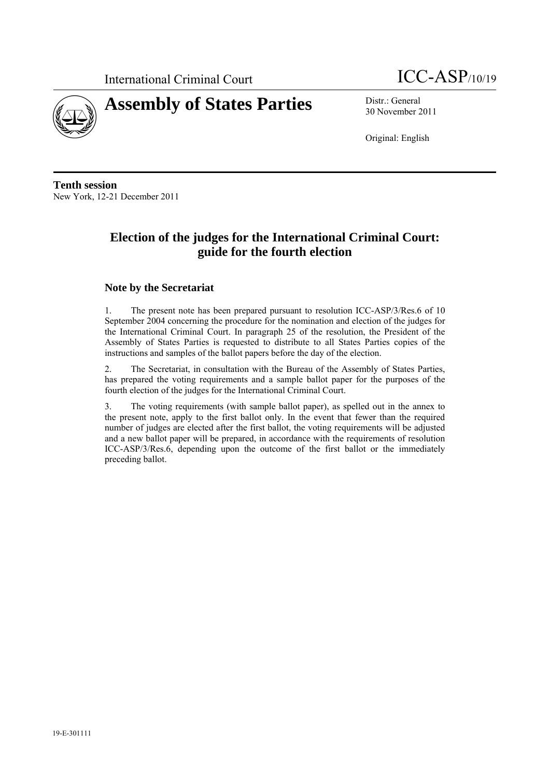



30 November 2011

Original: English

**Tenth session**  New York, 12-21 December 2011

## **Election of the judges for the International Criminal Court: guide for the fourth election**

### **Note by the Secretariat**

1. The present note has been prepared pursuant to resolution ICC-ASP/3/Res.6 of 10 September 2004 concerning the procedure for the nomination and election of the judges for the International Criminal Court. In paragraph 25 of the resolution, the President of the Assembly of States Parties is requested to distribute to all States Parties copies of the instructions and samples of the ballot papers before the day of the election.

2. The Secretariat, in consultation with the Bureau of the Assembly of States Parties, has prepared the voting requirements and a sample ballot paper for the purposes of the fourth election of the judges for the International Criminal Court.

3. The voting requirements (with sample ballot paper), as spelled out in the annex to the present note, apply to the first ballot only. In the event that fewer than the required number of judges are elected after the first ballot, the voting requirements will be adjusted and a new ballot paper will be prepared, in accordance with the requirements of resolution ICC-ASP/3/Res.6, depending upon the outcome of the first ballot or the immediately preceding ballot.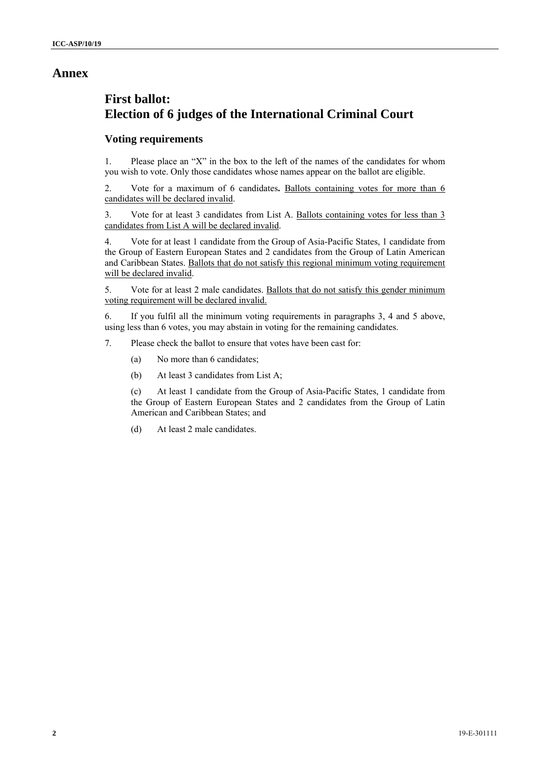### **Annex**

# **First ballot: Election of 6 judges of the International Criminal Court**

### **Voting requirements**

1. Please place an "X" in the box to the left of the names of the candidates for whom you wish to vote. Only those candidates whose names appear on the ballot are eligible.

2. Vote for a maximum of 6 candidates**.** Ballots containing votes for more than 6 candidates will be declared invalid.

3. Vote for at least 3 candidates from List A. Ballots containing votes for less than 3 candidates from List A will be declared invalid.

4. Vote for at least 1 candidate from the Group of Asia-Pacific States, 1 candidate from the Group of Eastern European States and 2 candidates from the Group of Latin American and Caribbean States. Ballots that do not satisfy this regional minimum voting requirement will be declared invalid.

5. Vote for at least 2 male candidates. Ballots that do not satisfy this gender minimum voting requirement will be declared invalid.

6. If you fulfil all the minimum voting requirements in paragraphs 3, 4 and 5 above, using less than 6 votes, you may abstain in voting for the remaining candidates.

7. Please check the ballot to ensure that votes have been cast for:

- (a) No more than 6 candidates;
- (b) At least 3 candidates from List A;

(c) At least 1 candidate from the Group of Asia-Pacific States, 1 candidate from the Group of Eastern European States and 2 candidates from the Group of Latin American and Caribbean States; and

(d) At least 2 male candidates.